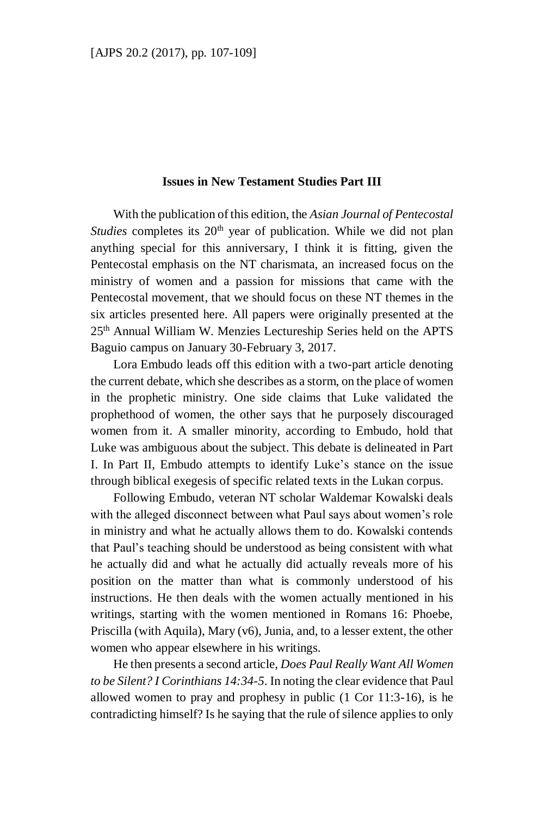## **Issues in New Testament Studies Part III**

With the publication of this edition, the *Asian Journal of Pentecostal Studies* completes its 20<sup>th</sup> year of publication. While we did not plan anything special for this anniversary, I think it is fitting, given the Pentecostal emphasis on the NT charismata, an increased focus on the ministry of women and a passion for missions that came with the Pentecostal movement, that we should focus on these NT themes in the six articles presented here. All papers were originally presented at the 25th Annual William W. Menzies Lectureship Series held on the APTS Baguio campus on January 30-February 3, 2017.

Lora Embudo leads off this edition with a two-part article denoting the current debate, which she describes as a storm, on the place of women in the prophetic ministry. One side claims that Luke validated the prophethood of women, the other says that he purposely discouraged women from it. A smaller minority, according to Embudo, hold that Luke was ambiguous about the subject. This debate is delineated in Part I. In Part II, Embudo attempts to identify Luke's stance on the issue through biblical exegesis of specific related texts in the Lukan corpus.

Following Embudo, veteran NT scholar Waldemar Kowalski deals with the alleged disconnect between what Paul says about women's role in ministry and what he actually allows them to do. Kowalski contends that Paul's teaching should be understood as being consistent with what he actually did and what he actually did actually reveals more of his position on the matter than what is commonly understood of his instructions. He then deals with the women actually mentioned in his writings, starting with the women mentioned in Romans 16: Phoebe, Priscilla (with Aquila), Mary (v6), Junia, and, to a lesser extent, the other women who appear elsewhere in his writings.

He then presents a second article, *Does Paul Really Want All Women to be Silent? I Corinthians 14:34-5*. In noting the clear evidence that Paul allowed women to pray and prophesy in public (1 Cor 11:3-16), is he contradicting himself? Is he saying that the rule of silence applies to only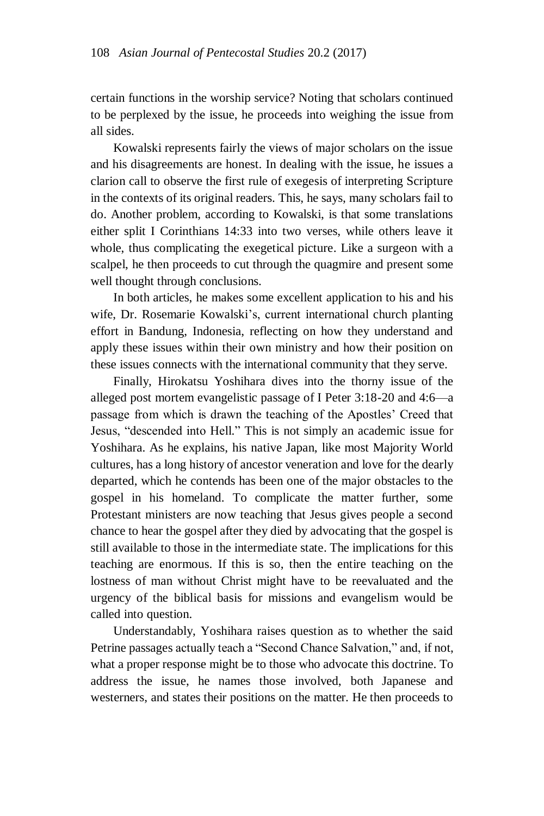certain functions in the worship service? Noting that scholars continued to be perplexed by the issue, he proceeds into weighing the issue from all sides.

Kowalski represents fairly the views of major scholars on the issue and his disagreements are honest. In dealing with the issue, he issues a clarion call to observe the first rule of exegesis of interpreting Scripture in the contexts of its original readers. This, he says, many scholars fail to do. Another problem, according to Kowalski, is that some translations either split I Corinthians 14:33 into two verses, while others leave it whole, thus complicating the exegetical picture. Like a surgeon with a scalpel, he then proceeds to cut through the quagmire and present some well thought through conclusions.

In both articles, he makes some excellent application to his and his wife, Dr. Rosemarie Kowalski's, current international church planting effort in Bandung, Indonesia, reflecting on how they understand and apply these issues within their own ministry and how their position on these issues connects with the international community that they serve.

Finally, Hirokatsu Yoshihara dives into the thorny issue of the alleged post mortem evangelistic passage of I Peter 3:18-20 and 4:6—a passage from which is drawn the teaching of the Apostles' Creed that Jesus, "descended into Hell." This is not simply an academic issue for Yoshihara. As he explains, his native Japan, like most Majority World cultures, has a long history of ancestor veneration and love for the dearly departed, which he contends has been one of the major obstacles to the gospel in his homeland. To complicate the matter further, some Protestant ministers are now teaching that Jesus gives people a second chance to hear the gospel after they died by advocating that the gospel is still available to those in the intermediate state. The implications for this teaching are enormous. If this is so, then the entire teaching on the lostness of man without Christ might have to be reevaluated and the urgency of the biblical basis for missions and evangelism would be called into question.

Understandably, Yoshihara raises question as to whether the said Petrine passages actually teach a "Second Chance Salvation," and, if not, what a proper response might be to those who advocate this doctrine. To address the issue, he names those involved, both Japanese and westerners, and states their positions on the matter. He then proceeds to